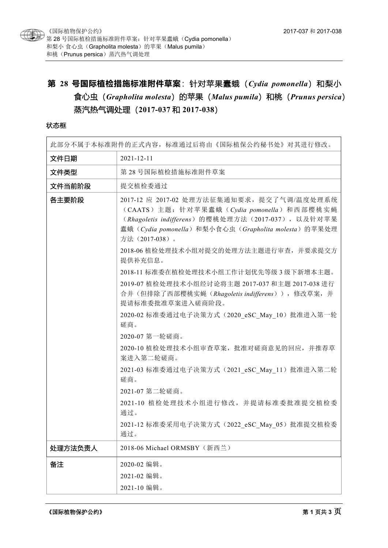

# 第 28 号国际植检措施标准附件草案: 针对苹果蠹蛾 (Cydia pomonella) 和梨小 食心虫(*Grapholita molesta*)的苹果(*Malus pumila*)和桃(*Prunus persica*) 蒸汽热气调处理(**2017-037** 和 **2017-038**)

#### 状态框

| 此部分不属于本标准附件的正式内容,标准通过后将由《国际植保公约秘书处》对其进行修改。 |                                                                                                                                                                                                                                                                                                                                                                                                                                                                                                                                                                                                                                                                                                                                                                    |
|--------------------------------------------|--------------------------------------------------------------------------------------------------------------------------------------------------------------------------------------------------------------------------------------------------------------------------------------------------------------------------------------------------------------------------------------------------------------------------------------------------------------------------------------------------------------------------------------------------------------------------------------------------------------------------------------------------------------------------------------------------------------------------------------------------------------------|
| 文件日期                                       | $2021 - 12 - 11$                                                                                                                                                                                                                                                                                                                                                                                                                                                                                                                                                                                                                                                                                                                                                   |
| 文件类型                                       | 第28号国际植检措施标准附件草案                                                                                                                                                                                                                                                                                                                                                                                                                                                                                                                                                                                                                                                                                                                                                   |
| 文件当前阶段                                     | 提交植检委通过                                                                                                                                                                                                                                                                                                                                                                                                                                                                                                                                                                                                                                                                                                                                                            |
| 各主要阶段                                      | 2017-12 应 2017-02 处理方法征集通知要求, 提交了气调/温度处理系统<br>(CAATS) 主题: 针对苹果蠹蛾 (Cydia pomonella) 和西部樱桃实蝇<br>(Rhagoletis indifferens) 的樱桃处理方法 (2017-037), 以及针对苹果<br>蠹蛾(Cydia pomonella)和梨小食心虫(Grapholita molesta)的苹果处理<br>方法 (2017-038)。<br>2018-06 植检处理技术小组对提交的处理方法主题进行审查, 并要求提交方<br>提供补充信息。<br>2018-11 标准委在植检处理技术小组工作计划优先等级3级下新增本主题。<br>2019-07 植检处理技术小组经讨论将主题 2017-037 和主题 2017-038 进行<br>合并(但排除了西部樱桃实蝇(Rhagoletis indifferens)), 修改草案, 并<br>提请标准委批准草案进入磋商阶段。<br>2020-02 标准委通过电子决策方式 (2020 eSC May 10) 批准进入第一轮<br>磋商。<br>2020-07 第一轮磋商。<br>2020-10 植检处理技术小组审查草案, 批准对磋商意见的回应, 并推荐草<br>案进入第二轮磋商。<br>2021-03 标准委通过电子决策方式 (2021 eSC May 11) 批准进入第二轮<br>磋商。<br>2021-07 第二轮磋商。<br>2021-10 植检处理技术小组进行修改, 并提请标准委批准提交植检委<br>通过。<br>2021-12 标准委采用电子决策方式 (2022 eSC May 05) 批准提交植检委<br>通过。 |
| 处理方法负责人                                    | 2018-06 Michael ORMSBY (新西兰)                                                                                                                                                                                                                                                                                                                                                                                                                                                                                                                                                                                                                                                                                                                                       |
| 备注                                         | 2020-02 编辑。                                                                                                                                                                                                                                                                                                                                                                                                                                                                                                                                                                                                                                                                                                                                                        |
|                                            | 2021-02 编辑。                                                                                                                                                                                                                                                                                                                                                                                                                                                                                                                                                                                                                                                                                                                                                        |
|                                            | 2021-10 编辑。                                                                                                                                                                                                                                                                                                                                                                                                                                                                                                                                                                                                                                                                                                                                                        |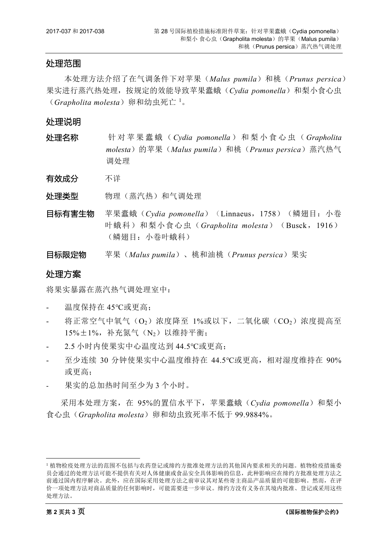#### 处理范围

本处理方法介绍了在气调条件下对苹果(*Malus pumila*)和桃(*Prunus persica*) 果实进行蒸汽热处理,按规定的效能导致苹果蠹蛾(*Cydia pomonella*)和梨小食心虫 (Grapholita molesta) 卵和幼虫死亡 <sup>[1](#page-1-0)</sup>。

### 处理说明

- 处理名称 针 对 苹果蠹蛾( *Cydia pomonella* )和梨小食心虫( *Grapholita molesta*)的苹果(*Malus pumila*)和桃(*Prunus persica*)蒸汽热气 调处理
- 有效成分 不详

外理类型 物理(蒸汽热)和气调处理

- 目标有害生物 苹果蠹蛾 (*Cydia pomonella*) (Linnaeus, 1758) (鳞翅目: 小卷 叶蛾科)和梨小食心虫(*Grapholita molesta*) (Busck, 1916) (鳞翅目:小卷叶蛾科)
- 目标限定物 苹果(*Malus pumila*)、桃和油桃(*Prunus persica*)果实

## 处理方案

将果实暴露在蒸汽热气调处理室中:

- 温度保持在 45℃或更高;
- 将正常空气中氧气(O2)浓度降至 1%或以下, 二氧化碳(CO2)浓度提高至  $15\% \pm 1\%$ , 补充氮气 (N<sub>2</sub>) 以维持平衡;
- 2.5 小时内使果实中心温度达到 44.5℃或更高;
- 至少连续 30 分钟使果实中心温度维持在 44.5℃或更高,相对湿度维持在 90% 或更高;
- 果实的总加热时间至少为 3 个小时。

采用本处理方案,在 95%的置信水平下,苹果蠹蛾(*Cydia pomonella*)和梨小 食心虫(*Grapholita molesta*)卵和幼虫致死率不低于 99.9884%。

<span id="page-1-0"></span> <sup>1</sup> 植物检疫处理方法的范围不包括与农药登记或缔约方批准处理方法的其他国内要求相关的问题。植物检疫措施委 员会通过的处理方法可能不提供有关对人体健康或食品安全具体影响的信息,此种影响应在缔约方批准处理方法之 前通过国内程序解决。此外,应在国际采用处理方法之前审议其对某些寄主商品产品质量的可能影响。然而,在评 价一项处理方法对商品质量的任何影响时,可能需要进一步审议。缔约方没有义务在其境内批准、登记或采用这些 处理方法。